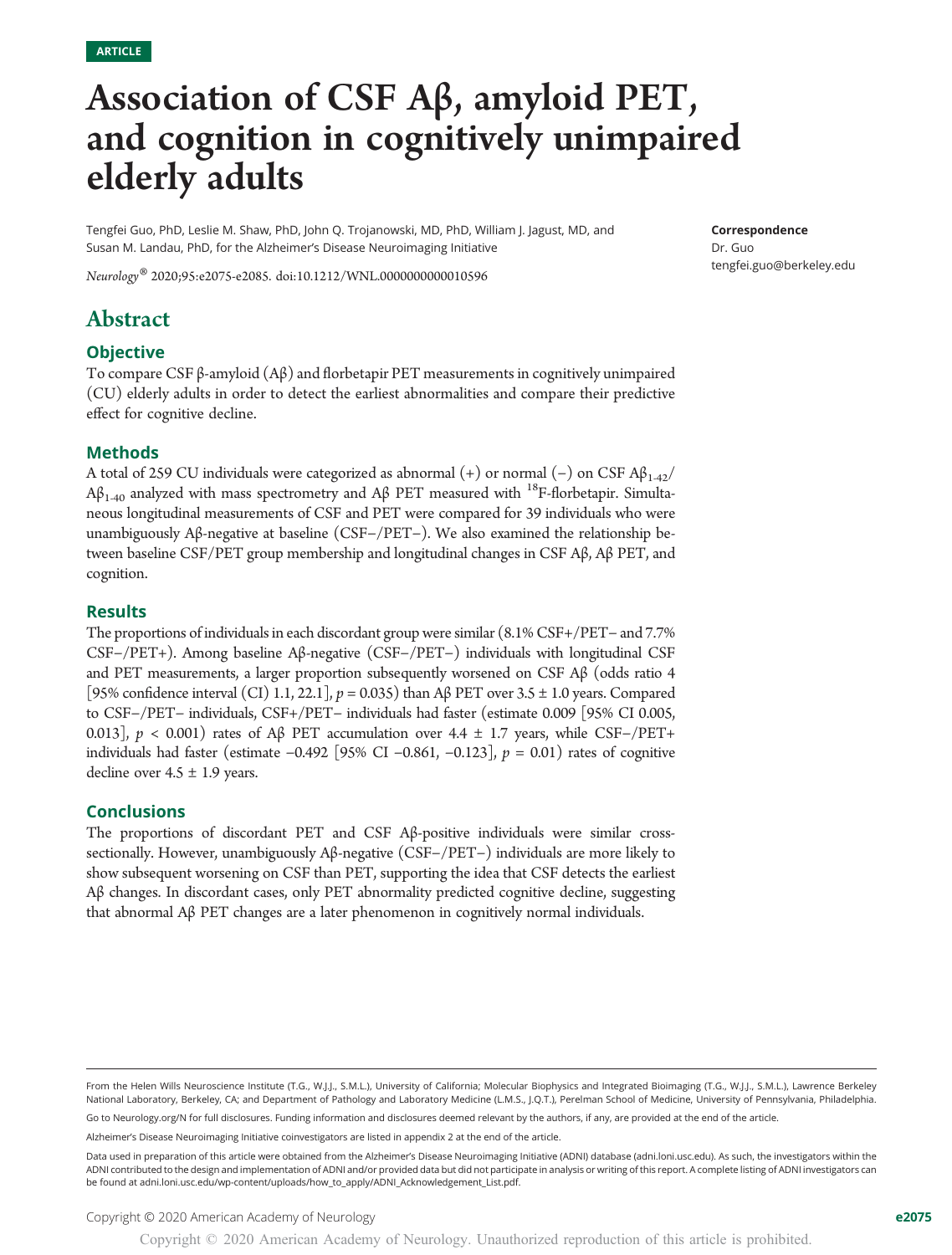# Association of CSF Aβ, amyloid PET, and cognition in cognitively unimpaired elderly adults

Tengfei Guo, PhD, Leslie M. Shaw, PhD, John Q. Trojanowski, MD, PhD, William J. Jagust, MD, and Susan M. Landau, PhD, for the Alzheimer's Disease Neuroimaging Initiative

Correspondence Dr. Guo [tengfei.guo@berkeley.edu](mailto:tengfei.guo@berkeley.edu)

Neurology® 2020;95:e2075-e2085. doi[:10.1212/WNL.0000000000010596](http://dx.doi.org/10.1212/WNL.0000000000010596)

# Abstract

# **Objective**

To compare CSF β-amyloid (Aβ) and florbetapir PET measurements in cognitively unimpaired (CU) elderly adults in order to detect the earliest abnormalities and compare their predictive effect for cognitive decline.

# Methods

A total of 259 CU individuals were categorized as abnormal (+) or normal (-) on CSF  $\mathsf{AB}_{1\text{-}42}/$  $Aβ<sub>1-40</sub>$  analyzed with mass spectrometry and Aβ PET measured with <sup>18</sup>F-florbetapir. Simultaneous longitudinal measurements of CSF and PET were compared for 39 individuals who were unambiguously Aβ-negative at baseline (CSF−/PET−). We also examined the relationship between baseline CSF/PET group membership and longitudinal changes in CSF Aβ, Aβ PET, and cognition.

# **Results**

The proportions of individuals in each discordant group were similar (8.1% CSF+/PET− and 7.7% CSF−/PET+). Among baseline Aβ-negative (CSF−/PET−) individuals with longitudinal CSF and PET measurements, a larger proportion subsequently worsened on CSF  $\mathcal{A}\beta$  (odds ratio 4 [95% confidence interval (CI) 1.1, 22.1],  $p = 0.035$ ) than A $\beta$  PET over 3.5  $\pm$  1.0 years. Compared to CSF−/PET− individuals, CSF+/PET− individuals had faster (estimate 0.009 [95% CI 0.005, 0.013],  $p < 0.001$ ) rates of Aβ PET accumulation over 4.4 ± 1.7 years, while CSF-/PET+ individuals had faster (estimate −0.492 [95% CI −0.861, −0.123],  $p = 0.01$ ) rates of cognitive decline over  $4.5 \pm 1.9$  years.

#### Conclusions

The proportions of discordant PET and CSF Aβ-positive individuals were similar crosssectionally. However, unambiguously Aβ-negative (CSF−/PET−) individuals are more likely to show subsequent worsening on CSF than PET, supporting the idea that CSF detects the earliest Aβ changes. In discordant cases, only PET abnormality predicted cognitive decline, suggesting that abnormal Aβ PET changes are a later phenomenon in cognitively normal individuals.

Go to [Neurology.org/N](https://n.neurology.org/lookup/doi/10.1212/WNL.0000000000010596) for full disclosures. Funding information and disclosures deemed relevant by the authors, if any, are provided at the end of the article.

Alzheimer's Disease Neuroimaging Initiative coinvestigators are listed in appendix 2 at the end of the article.

From the Helen Wills Neuroscience Institute (T.G., W.J.J., S.M.L.), University of California; Molecular Biophysics and Integrated Bioimaging (T.G., W.J.J., S.M.L.), Lawrence Berkeley National Laboratory, Berkeley, CA; and Department of Pathology and Laboratory Medicine (L.M.S., J.Q.T.), Perelman School of Medicine, University of Pennsylvania, Philadelphia.

Data used in preparation of this article were obtained from the Alzheimer's Disease Neuroimaging Initiative (ADNI) database [\(adni.loni.usc.edu\)](http://adni.loni.usc.edu). As such, the investigators within the ADNI contributed to the design and implementation of ADNI and/or provided data but did not participate in analysis or writing of this report. A complete listing of ADNI investigators can be found at [adni.loni.usc.edu/wp-content/uploads/how\\_to\\_apply/ADNI\\_Acknowledgement\\_List.pdf](http://adni.loni.usc.edu/wp-content/uploads/how_to_apply/ADNI_Acknowledgement_List.pdf).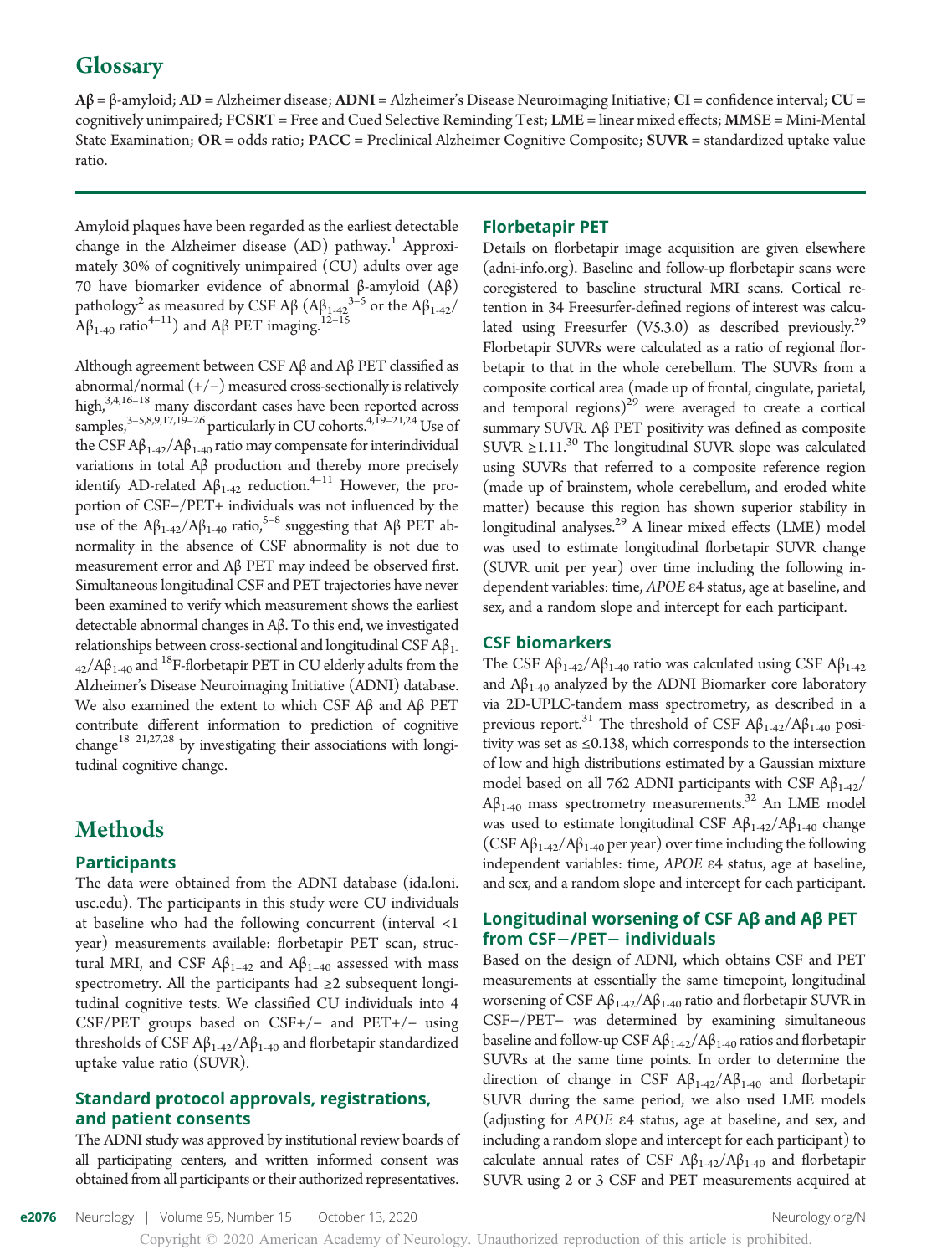# **Glossary**

 $A\beta = \beta$ -amyloid;  $AD =$  Alzheimer disease;  $ADNI =$  Alzheimer's Disease Neuroimaging Initiative;  $CI =$  confidence interval;  $CU =$ cognitively unimpaired; FCSRT = Free and Cued Selective Reminding Test; LME = linear mixed effects; MMSE = Mini-Mental State Examination;  $OR = odds$  ratio;  $PACC = Preclinical Alzheimer Cognitive Composite; SUNR = standardized uptake value$ ratio.

Amyloid plaques have been regarded as the earliest detectable change in the Alzheimer disease  $(AD)$  pathway.<sup>1</sup> Approximately 30% of cognitively unimpaired (CU) adults over age 70 have biomarker evidence of abnormal β-amyloid (Aβ) pathology<sup>2</sup> as measured by CSF Aβ (Aβ<sub>1-42</sub><sup>3-5</sup> or the Aβ<sub>1-42</sub>/  $A\beta_{1-40}$  ratio<sup>4–11</sup>) and A $\beta$  PET imaging.<sup>12–15</sup>

Although agreement between CSF Aβ and Aβ PET classified as abnormal/normal  $(+/-)$  measured cross-sectionally is relatively high,<sup>3,4,16–18</sup> many discordant cases have been reported across samples, $3-5,8,9,17,19-26$  particularly in CU cohorts. $4,19-21,24$  Use of the CSF  $A\beta_{1-42}/A\beta_{1-40}$  ratio may compensate for interindividual variations in total Aβ production and thereby more precisely identify AD-related  $A\beta_{1-42}$  reduction.<sup>4–11</sup> However, the proportion of CSF−/PET+ individuals was not influenced by the use of the  $A\beta_{1-42}/A\beta_{1-40}$  ratio,<sup>5–8</sup> suggesting that  $A\beta$  PET abnormality in the absence of CSF abnormality is not due to measurement error and Aβ PET may indeed be observed first. Simultaneous longitudinal CSF and PET trajectories have never been examined to verify which measurement shows the earliest detectable abnormal changes in Aβ. To this end, we investigated relationships between cross-sectional and longitudinal CSF  $A\beta_{1}$ .  $_{42}/A\beta_{1-40}$  and <sup>18</sup>F-florbetapir PET in CU elderly adults from the Alzheimer's Disease Neuroimaging Initiative (ADNI) database. We also examined the extent to which CSF Aβ and Aβ PET contribute different information to prediction of cognitive change<sup>18–21,27,28</sup> by investigating their associations with longitudinal cognitive change.

# Methods

# Participants

The data were obtained from the ADNI database [\(ida.loni.](http://ida.loni.usc.edu) [usc.edu](http://ida.loni.usc.edu)). The participants in this study were CU individuals at baseline who had the following concurrent (interval <1 year) measurements available: florbetapir PET scan, structural MRI, and CSF Aβ<sub>1–42</sub> and Aβ<sub>1–40</sub> assessed with mass spectrometry. All the participants had ≥2 subsequent longitudinal cognitive tests. We classified CU individuals into 4 CSF/PET groups based on CSF+/− and PET+/− using thresholds of CSF  $A\beta_{1-42}/A\beta_{1-40}$  and florbetapir standardized uptake value ratio (SUVR).

# Standard protocol approvals, registrations, and patient consents

The ADNI study was approved by institutional review boards of all participating centers, and written informed consent was obtained from all participants or their authorized representatives.

#### Florbetapir PET

Details on florbetapir image acquisition are given elsewhere [\(adni-info.org](http://adni-info.org)). Baseline and follow-up florbetapir scans were coregistered to baseline structural MRI scans. Cortical retention in 34 Freesurfer-defined regions of interest was calculated using Freesurfer  $(V5.3.0)$  as described previously.<sup>29</sup> Florbetapir SUVRs were calculated as a ratio of regional florbetapir to that in the whole cerebellum. The SUVRs from a composite cortical area (made up of frontal, cingulate, parietal, and temporal regions) $^{29}$  were averaged to create a cortical summary SUVR. Aβ PET positivity was defined as composite SUVR  $\geq$ 1.11.<sup>30</sup> The longitudinal SUVR slope was calculated using SUVRs that referred to a composite reference region (made up of brainstem, whole cerebellum, and eroded white matter) because this region has shown superior stability in longitudinal analyses.<sup>29</sup> A linear mixed effects (LME) model was used to estimate longitudinal florbetapir SUVR change (SUVR unit per year) over time including the following independent variables: time, APOE <sup>e</sup>4 status, age at baseline, and sex, and a random slope and intercept for each participant.

#### CSF biomarkers

The CSF  $A\beta_{1-42}/A\beta_{1-40}$  ratio was calculated using CSF  $A\beta_{1-42}$ and  $A\beta_{1-40}$  analyzed by the ADNI Biomarker core laboratory via 2D-UPLC-tandem mass spectrometry, as described in a previous report.<sup>31</sup> The threshold of CSF  $A\beta_{1\text{-}42}/A\beta_{1\text{-}40}$  positivity was set as ≤0.138, which corresponds to the intersection of low and high distributions estimated by a Gaussian mixture model based on all 762 ADNI participants with CSF  $A\beta_{1\text{-}42}/$  $A\beta_{1-40}$  mass spectrometry measurements.<sup>32</sup> An LME model was used to estimate longitudinal CSF  $A\beta_{1-42}/A\beta_{1-40}$  change (CSF A $\beta_{1-42}/A\beta_{1-40}$  per year) over time including the following independent variables: time, APOE <sup>e</sup>4 status, age at baseline, and sex, and a random slope and intercept for each participant.

# Longitudinal worsening of CSF Aβ and Aβ PET from CSF-/PET- individuals

Based on the design of ADNI, which obtains CSF and PET measurements at essentially the same timepoint, longitudinal worsening of CSF  $A\beta_{1-42}/A\beta_{1-40}$  ratio and florbetapir SUVR in CSF−/PET− was determined by examining simultaneous baseline and follow-up CSF  $A\beta_{1-42}/A\beta_{1-40}$  ratios and florbetapir SUVRs at the same time points. In order to determine the direction of change in CSF  $A\beta_{1-42}/A\beta_{1-40}$  and florbetapir SUVR during the same period, we also used LME models (adjusting for APOE <sup>e</sup>4 status, age at baseline, and sex, and including a random slope and intercept for each participant) to calculate annual rates of CSF  $A\beta_{1-42}/A\beta_{1-40}$  and florbetapir SUVR using 2 or 3 CSF and PET measurements acquired at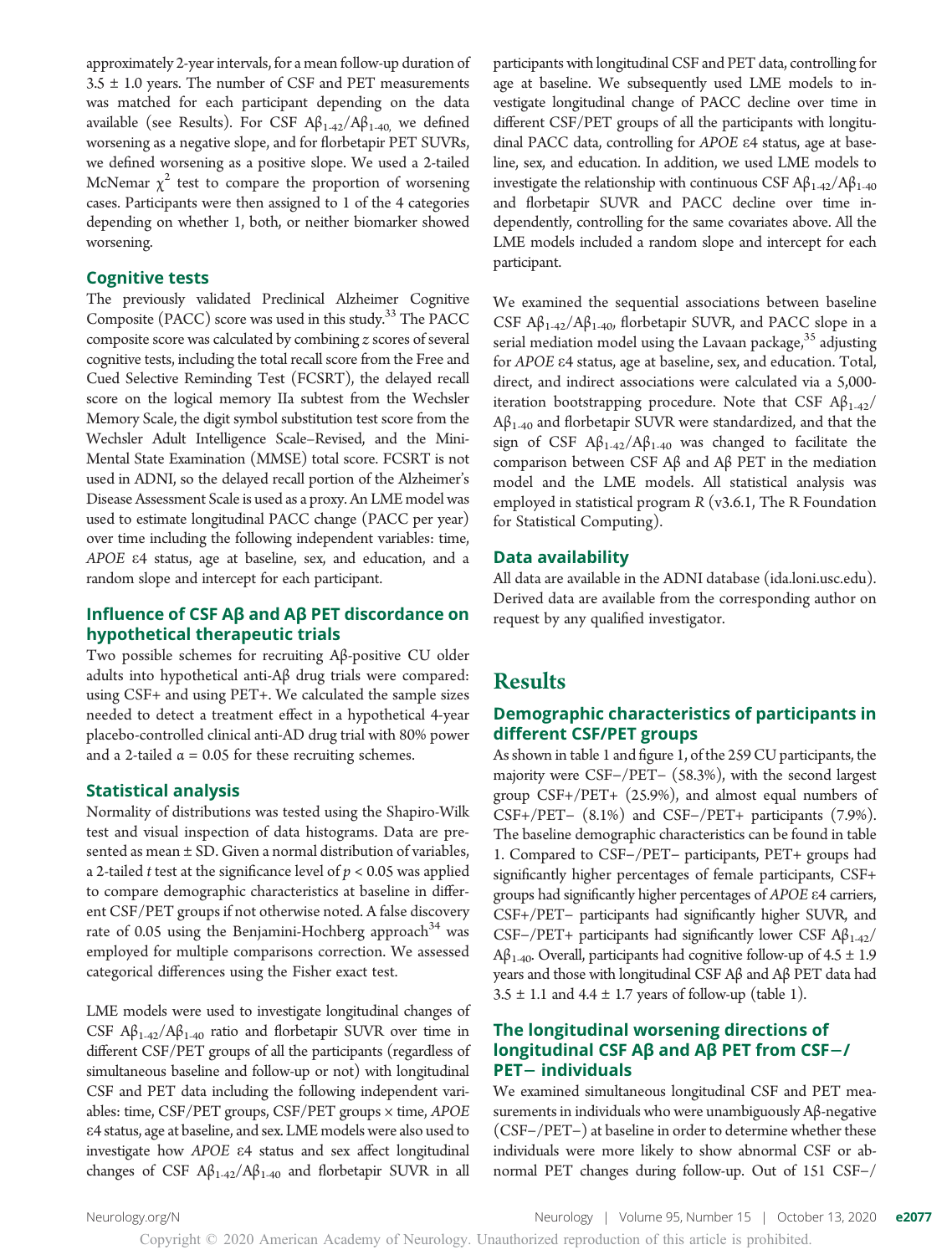approximately 2-year intervals, for a mean follow-up duration of  $3.5 \pm 1.0$  years. The number of CSF and PET measurements was matched for each participant depending on the data available (see Results). For CSF  $A\beta_{1-42}/A\beta_{1-40}$ , we defined worsening as a negative slope, and for florbetapir PET SUVRs, we defined worsening as a positive slope. We used a 2-tailed McNemar  $\chi^2$  test to compare the proportion of worsening cases. Participants were then assigned to 1 of the 4 categories depending on whether 1, both, or neither biomarker showed worsening.

#### Cognitive tests

The previously validated Preclinical Alzheimer Cognitive Composite (PACC) score was used in this study.33 The PACC composite score was calculated by combining z scores of several cognitive tests, including the total recall score from the Free and Cued Selective Reminding Test (FCSRT), the delayed recall score on the logical memory IIa subtest from the Wechsler Memory Scale, the digit symbol substitution test score from the Wechsler Adult Intelligence Scale–Revised, and the Mini-Mental State Examination (MMSE) total score. FCSRT is not used in ADNI, so the delayed recall portion of the Alzheimer's Disease Assessment Scale is used as a proxy. An LME model was used to estimate longitudinal PACC change (PACC per year) over time including the following independent variables: time, APOE <sup>e</sup>4 status, age at baseline, sex, and education, and a random slope and intercept for each participant.

# Influence of CSF Aβ and Aβ PET discordance on hypothetical therapeutic trials

Two possible schemes for recruiting Aβ-positive CU older adults into hypothetical anti-Aβ drug trials were compared: using CSF+ and using PET+. We calculated the sample sizes needed to detect a treatment effect in a hypothetical 4-year placebo-controlled clinical anti-AD drug trial with 80% power and a 2-tailed  $\alpha$  = 0.05 for these recruiting schemes.

#### Statistical analysis

Normality of distributions was tested using the Shapiro-Wilk test and visual inspection of data histograms. Data are presented as mean ± SD. Given a normal distribution of variables, a 2-tailed *t* test at the significance level of  $p < 0.05$  was applied to compare demographic characteristics at baseline in different CSF/PET groups if not otherwise noted. A false discovery rate of 0.05 using the Benjamini-Hochberg approach<sup>34</sup> was employed for multiple comparisons correction. We assessed categorical differences using the Fisher exact test.

LME models were used to investigate longitudinal changes of CSF  $\mathbf{A}\beta_{1-42}/\mathbf{A}\beta_{1-40}$  ratio and florbetapir SUVR over time in different CSF/PET groups of all the participants (regardless of simultaneous baseline and follow-up or not) with longitudinal CSF and PET data including the following independent variables: time, CSF/PET groups, CSF/PET groups × time, APOE e4 status, age at baseline, and sex. LME models were also used to investigate how APOE <sup>e</sup>4 status and sex affect longitudinal changes of CSF  $A\beta_{1-42}/A\beta_{1-40}$  and florbetapir SUVR in all

participants with longitudinal CSF and PET data, controlling for age at baseline. We subsequently used LME models to investigate longitudinal change of PACC decline over time in different CSF/PET groups of all the participants with longitudinal PACC data, controlling for APOE <sup>e</sup>4 status, age at baseline, sex, and education. In addition, we used LME models to investigate the relationship with continuous CSF  $A\beta_{1-42}/A\beta_{1-40}$ and florbetapir SUVR and PACC decline over time independently, controlling for the same covariates above. All the LME models included a random slope and intercept for each participant.

We examined the sequential associations between baseline CSF  $A\beta_{1-42}/A\beta_{1-40}$ , florbetapir SUVR, and PACC slope in a serial mediation model using the Lavaan package,<sup>35</sup> adjusting for APOE <sup>e</sup>4 status, age at baseline, sex, and education. Total, direct, and indirect associations were calculated via a 5,000 iteration bootstrapping procedure. Note that CSF  $A\beta_{1-42}/$  $A\beta_{1-40}$  and florbetapir SUVR were standardized, and that the sign of CSF  $A\beta_{1-42}/A\beta_{1-40}$  was changed to facilitate the comparison between CSF Aβ and Aβ PET in the mediation model and the LME models. All statistical analysis was employed in statistical program R (v3.6.1, The R Foundation for Statistical Computing).

#### Data availability

All data are available in the ADNI database ([ida.loni.usc.edu\)](http://ida.loni.usc.edu). Derived data are available from the corresponding author on request by any qualified investigator.

# **Results**

# Demographic characteristics of participants in different CSF/PET groups

As shown in table 1 and figure 1, of the 259 CU participants, the majority were CSF−/PET− (58.3%), with the second largest group CSF+/PET+ (25.9%), and almost equal numbers of CSF+/PET− (8.1%) and CSF−/PET+ participants (7.9%). The baseline demographic characteristics can be found in table 1. Compared to CSF−/PET− participants, PET+ groups had significantly higher percentages of female participants, CSF+ groups had significantly higher percentages of APOE <sup>e</sup>4 carriers, CSF+/PET− participants had significantly higher SUVR, and CSF-/PET+ participants had significantly lower CSF  $\mathbf{A}\beta_{1\text{-}42}$ /  $A\beta_{1-40}$ . Overall, participants had cognitive follow-up of 4.5  $\pm$  1.9 years and those with longitudinal CSF Aβ and Aβ PET data had  $3.5 \pm 1.1$  and  $4.4 \pm 1.7$  years of follow-up (table 1).

# The longitudinal worsening directions of longitudinal CSF Aβ and Aβ PET from CSF-/ **PET-individuals**

We examined simultaneous longitudinal CSF and PET measurements in individuals who were unambiguously Aβ-negative (CSF−/PET−) at baseline in order to determine whether these individuals were more likely to show abnormal CSF or abnormal PET changes during follow-up. Out of 151 CSF−/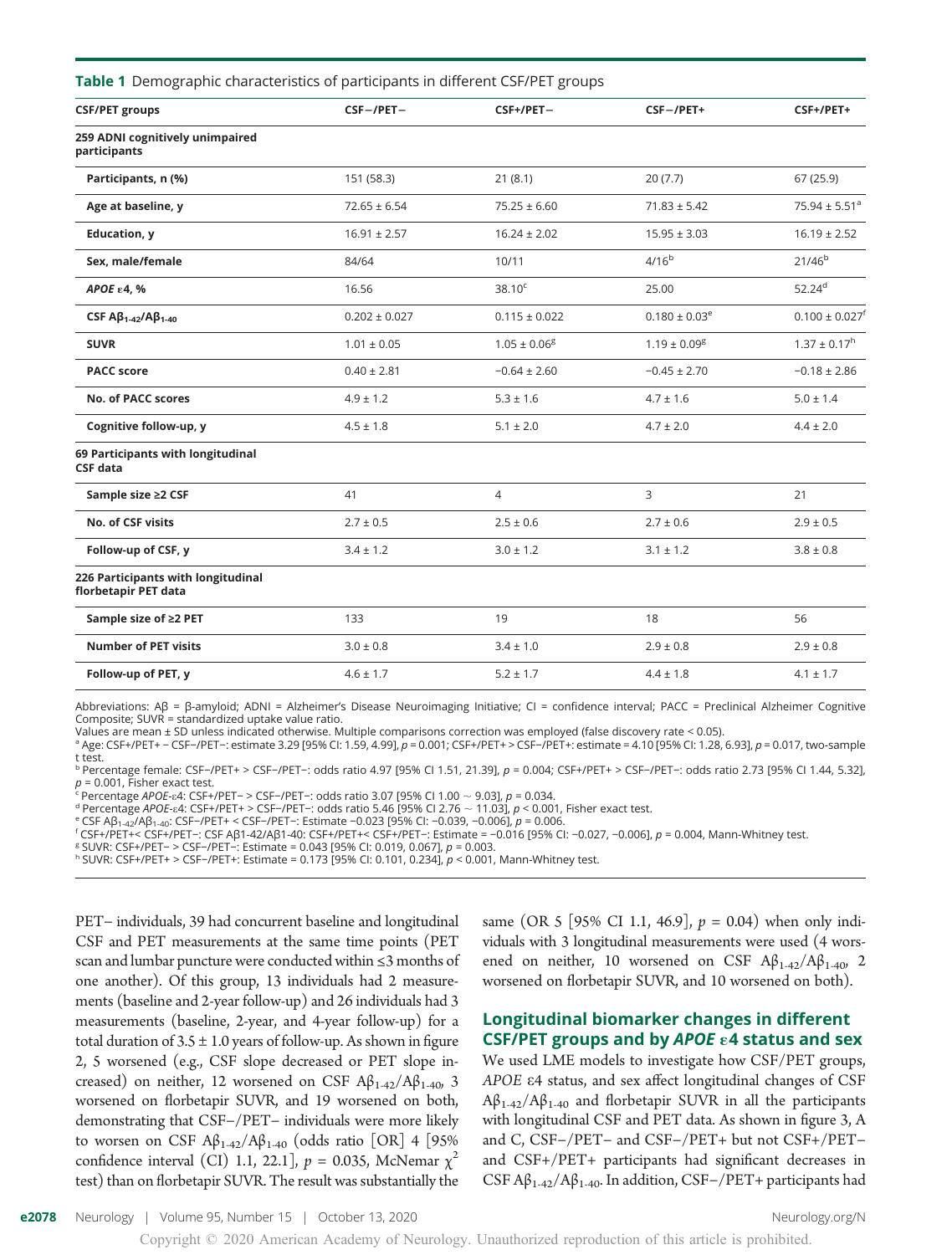| <b>Table 1</b> Demographic characteristics of participants in different CSF/PET groups |  |  |  |  |  |
|----------------------------------------------------------------------------------------|--|--|--|--|--|
|----------------------------------------------------------------------------------------|--|--|--|--|--|

| <b>CSF/PET groups</b>                                      | $CSF - / PET -$   | $CSF+/PET-$                  | $CSF - / PET +$               | CSF+/PET+                      |
|------------------------------------------------------------|-------------------|------------------------------|-------------------------------|--------------------------------|
| 259 ADNI cognitively unimpaired<br>participants            |                   |                              |                               |                                |
| Participants, n (%)                                        | 151 (58.3)        | 21(8.1)                      | 20(7.7)                       | 67 (25.9)                      |
| Age at baseline, y                                         | $72.65 \pm 6.54$  | $75.25 \pm 6.60$             | $71.83 \pm 5.42$              | 75.94 ± 5.51 <sup>a</sup>      |
| <b>Education, y</b>                                        | $16.91 \pm 2.57$  | $16.24 \pm 2.02$             | $15.95 \pm 3.03$              | $16.19 \pm 2.52$               |
| Sex. male/female                                           | 84/64             | 10/11                        | 4/16 <sup>b</sup>             | $21/46^{b}$                    |
| АРОЕ е 4, %                                                | 16.56             | $38.10^{\circ}$              | 25.00                         | $52.24^{d}$                    |
| CSF $A\beta_{1-42}/A\beta_{1-40}$                          | $0.202 \pm 0.027$ | $0.115 \pm 0.022$            | $0.180 \pm 0.03$ <sup>e</sup> | $0.100 \pm 0.027$ <sup>f</sup> |
| <b>SUVR</b>                                                | $1.01 \pm 0.05$   | $1.05 \pm 0.06$ <sup>g</sup> | $1.19 \pm 0.09$ <sup>g</sup>  | $1.37 \pm 0.17$ <sup>h</sup>   |
| <b>PACC</b> score                                          | $0.40 \pm 2.81$   | $-0.64 \pm 2.60$             | $-0.45 \pm 2.70$              | $-0.18 \pm 2.86$               |
| No. of PACC scores                                         | $4.9 \pm 1.2$     | $5.3 \pm 1.6$                | $4.7 \pm 1.6$                 | $5.0 \pm 1.4$                  |
| Cognitive follow-up, y                                     | $4.5 \pm 1.8$     | $5.1 \pm 2.0$                | $4.7 \pm 2.0$                 | $4.4 \pm 2.0$                  |
| 69 Participants with longitudinal<br><b>CSF</b> data       |                   |                              |                               |                                |
| Sample size ≥2 CSF                                         | 41                | $\overline{4}$               | 3                             | 21                             |
| No. of CSF visits                                          | $2.7 \pm 0.5$     | $2.5 \pm 0.6$                | $2.7 \pm 0.6$                 | $2.9 \pm 0.5$                  |
| Follow-up of CSF, y                                        | $3.4 \pm 1.2$     | $3.0 \pm 1.2$                | $3.1 \pm 1.2$                 | $3.8 \pm 0.8$                  |
| 226 Participants with longitudinal<br>florbetapir PET data |                   |                              |                               |                                |
| Sample size of ≥2 PET                                      | 133               | 19                           | 18                            | 56                             |
| <b>Number of PET visits</b>                                | $3.0 \pm 0.8$     | $3.4 \pm 1.0$                | $2.9 \pm 0.8$                 | $2.9 \pm 0.8$                  |
| Follow-up of PET, y                                        | $4.6 \pm 1.7$     | $5.2 \pm 1.7$                | $4.4 \pm 1.8$                 | $4.1 \pm 1.7$                  |

Abbreviations: Aβ = β-amyloid; ADNI = Alzheimer's Disease Neuroimaging Initiative; CI = confidence interval; PACC = Preclinical Alzheimer Cognitive Composite; SUVR = standardized uptake value ratio.

Values are mean ± SD unless indicated otherwise. Multiple comparisons correction was employed (false discovery rate < 0.05). <sup>a</sup> Age: CSF+/PET+ − CSF−/PET−: estimate 3.29 [95% CI: 1.59, 4.99], p = 0.001; CSF+/PET+ > CSF−/PET+: estimate = 4.10 [95% CI: 1.28, 6.93], p = 0.017, two-sample t test.

<sup>b</sup> Percentage female: CSF−/PET+ > CSF−/PET−: odds ratio 4.97 [95% CI 1.51, 21.39], p = 0.004; CSF+/PET+ > CSF−/PET−: odds ratio 2.73 [95% CI 1.44, 5.32],<br>p = 0.001, Fisher exact test.

ρ<br><sup>c</sup> Percentage *APOE-ε4*: CSF+/PET– > CSF–/PET–: odds ratio 3.07 [95% Cl 1.00 ~ 9.03], *p* = 0.034.<br><sup>d</sup> Percentage *APOE-ε4*: CSF+/PET+ > CSF–/PET–: odds ratio 5.46 [95% Cl 2.76 ~ 11.03], *p* < 0.001, Fisher exact test.

' CCSFAβ<sub>1-42</sub>/Aβ<sub>1-40</sub>: CSF−/PET+ < CSF−/PET−: Estimate −0.023 [95% CI: −0.039, −0.006], *p* = 0.006.<br>"CSF+/PET+< CSF+/PET−: CSF Aβ1-42/Aβ1-40: CSF+/PET+< CSF+/PET−: Estimate = −0.016 [95% CI: −0.027, −0.006], *p* = 0.0

<sup>h</sup> SUVR: CSF+/PET+ > CSF−/PET+: Estimate = 0.173 [95% CI: 0.101, 0.234], p < 0.001, Mann-Whitney test.

PET− individuals, 39 had concurrent baseline and longitudinal CSF and PET measurements at the same time points (PET scan and lumbar puncture were conducted within ≤3 months of one another). Of this group, 13 individuals had 2 measurements (baseline and 2-year follow-up) and 26 individuals had 3 measurements (baseline, 2-year, and 4-year follow-up) for a total duration of  $3.5 \pm 1.0$  years of follow-up. As shown in figure 2, 5 worsened (e.g., CSF slope decreased or PET slope increased) on neither, 12 worsened on CSF  $A\beta_{1.42}/A\beta_{1.40}$ , 3 worsened on florbetapir SUVR, and 19 worsened on both, demonstrating that CSF−/PET− individuals were more likely to worsen on CSF  $A\beta_{1\text{-}42}/A\beta_{1\text{-}40}$  (odds ratio [OR] 4 [95% confidence interval (CI) 1.1, 22.1],  $p = 0.035$ , McNemar  $\chi^2$ test) than on florbetapir SUVR. The result was substantially the

same (OR 5 [95% CI 1.1, 46.9],  $p = 0.04$ ) when only individuals with 3 longitudinal measurements were used (4 worsened on neither, 10 worsened on CSF  $A\beta_{1-42}/A\beta_{1-40}$ , 2 worsened on florbetapir SUVR, and 10 worsened on both).

# Longitudinal biomarker changes in different CSF/PET groups and by APOE  $\epsilon$ 4 status and sex

We used LME models to investigate how CSF/PET groups, APOE <sup>e</sup>4 status, and sex affect longitudinal changes of CSF  $A\beta_{1-42}/A\beta_{1-40}$  and florbetapir SUVR in all the participants with longitudinal CSF and PET data. As shown in figure 3, A and C, CSF−/PET− and CSF−/PET+ but not CSF+/PET− and CSF+/PET+ participants had significant decreases in CSF  $A\beta_{1-42}/A\beta_{1-40}$ . In addition, CSF-/PET+ participants had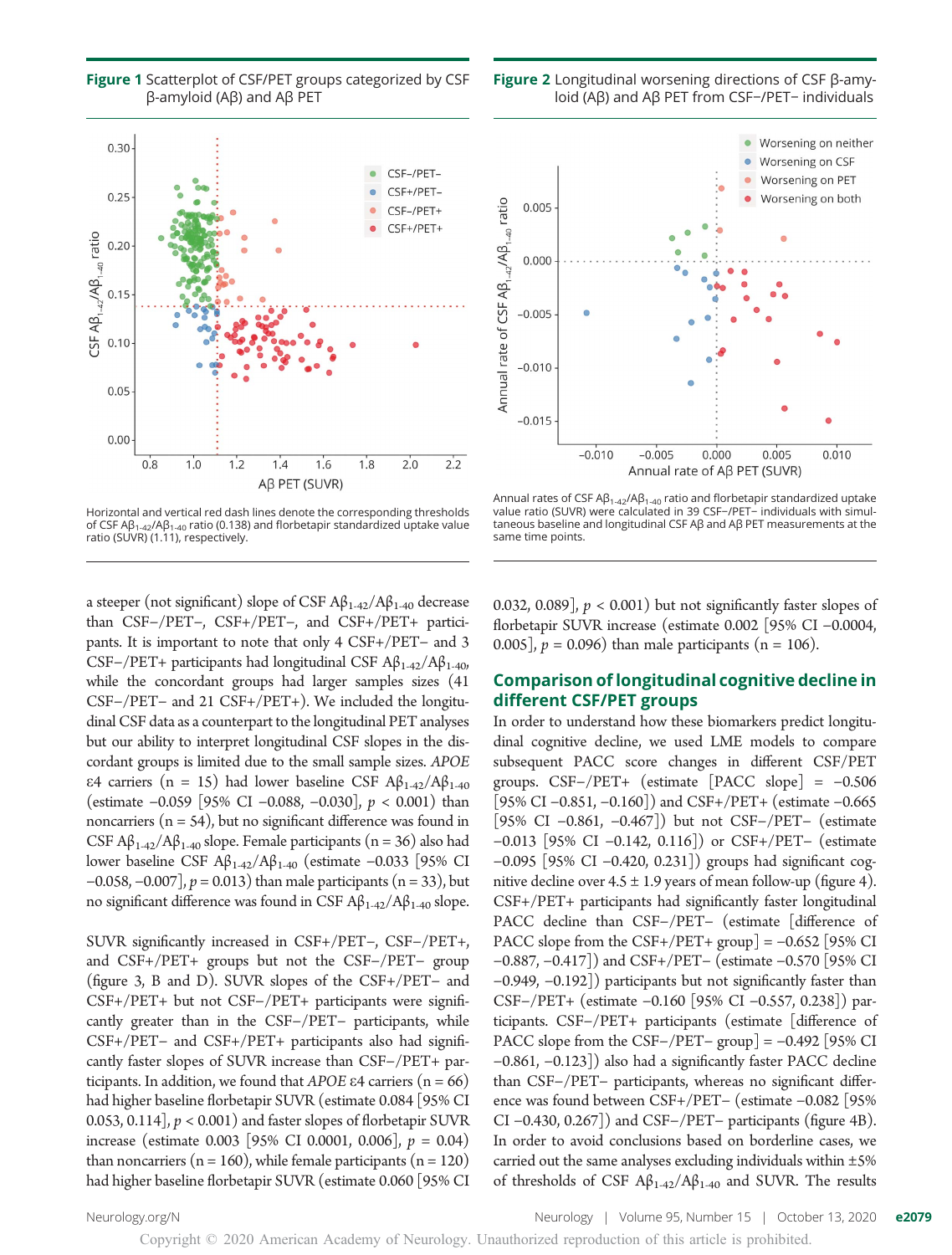

Figure 1 Scatterplot of CSF/PET groups categorized by CSF β-amyloid (Aβ) and Aβ PET

Horizontal and vertical red dash lines denote the corresponding thresholds of CSF Aβ1-42/Aβ1-40 ratio (0.138) and florbetapir standardized uptake value ratio (SUVR) (1.11), respectively.

a steeper (not significant) slope of CSF  $A\beta_{1-42}/A\beta_{1-40}$  decrease than CSF−/PET−, CSF+/PET−, and CSF+/PET+ participants. It is important to note that only 4 CSF+/PET− and 3 CSF-/PET+ participants had longitudinal CSF  $A\beta_{1-42}/A\beta_{1-40}$ , while the concordant groups had larger samples sizes (41 CSF−/PET− and 21 CSF+/PET+). We included the longitudinal CSF data as a counterpart to the longitudinal PET analyses but our ability to interpret longitudinal CSF slopes in the discordant groups is limited due to the small sample sizes. APOE ε4 carriers (n = 15) had lower baseline CSF  $A\beta_{1-42}/A\beta_{1-40}$ (estimate <sup>−</sup>0.059 [95% CI <sup>−</sup>0.088, <sup>−</sup>0.030], p < 0.001) than noncarriers  $(n = 54)$ , but no significant difference was found in CSF  $A\beta_{1-42}/A\beta_{1-40}$  slope. Female participants (n = 36) also had lower baseline CSF Aβ1-42/Aβ1-40 (estimate −0.033 [95% CI  $-0.058, -0.007$ ],  $p = 0.013$ ) than male participants (n = 33), but no significant difference was found in CSF  $Aβ_{1-42}/Aβ_{1-40}$  slope.

SUVR significantly increased in CSF+/PET−, CSF−/PET+, and CSF+/PET+ groups but not the CSF−/PET− group (figure 3, B and D). SUVR slopes of the CSF+/PET− and CSF+/PET+ but not CSF−/PET+ participants were significantly greater than in the CSF−/PET− participants, while CSF+/PET− and CSF+/PET+ participants also had significantly faster slopes of SUVR increase than CSF−/PET+ participants. In addition, we found that APOE  $\epsilon$ 4 carriers (n = 66) had higher baseline florbetapir SUVR (estimate 0.084 [95% CI 0.053, 0.114],  $p < 0.001$ ) and faster slopes of florbetapir SUVR increase (estimate 0.003 [95% CI 0.0001, 0.006],  $p = 0.04$ ) than noncarriers ( $n = 160$ ), while female participants ( $n = 120$ ) had higher baseline florbetapir SUVR (estimate 0.060 [95% CI

Figure 2 Longitudinal worsening directions of CSF β-amyloid (Aβ) and Aβ PET from CSF−/PET− individuals



Annual rates of CSF A $\beta_{1-42}/\beta_{1-40}$  ratio and florbetapir standardized uptake value ratio (SUVR) were calculated in 39 CSF−/PET− individuals with simultaneous baseline and longitudinal CSF Aβ and Aβ PET measurements at the same time points.

0.032, 0.089],  $p < 0.001$ ) but not significantly faster slopes of florbetapir SUVR increase (estimate 0.002 [95% CI −0.0004, 0.005],  $p = 0.096$ ) than male participants (n = 106).

## Comparison of longitudinal cognitive decline in different CSF/PET groups

In order to understand how these biomarkers predict longitudinal cognitive decline, we used LME models to compare subsequent PACC score changes in different CSF/PET groups. CSF−/PET+ (estimate [PACC slope] = −0.506 [95% CI −0.851, −0.160]) and CSF+/PET+ (estimate −0.665 [95% CI −0.861, −0.467]) but not CSF−/PET− (estimate −0.013 [95% CI −0.142, 0.116]) or CSF+/PET− (estimate −0.095 [95% CI −0.420, 0.231]) groups had significant cognitive decline over  $4.5 \pm 1.9$  years of mean follow-up (figure 4). CSF+/PET+ participants had significantly faster longitudinal PACC decline than CSF−/PET− (estimate [difference of PACC slope from the CSF+/PET+ group] =  $-0.652$  [95% CI −0.887, −0.417]) and CSF+/PET− (estimate −0.570 [95% CI −0.949, −0.192]) participants but not significantly faster than CSF−/PET+ (estimate −0.160 [95% CI −0.557, 0.238]) participants. CSF−/PET+ participants (estimate [difference of PACC slope from the CSF−/PET− group] = −0.492 [95% CI −0.861, −0.123]) also had a significantly faster PACC decline than CSF−/PET− participants, whereas no significant difference was found between CSF+/PET− (estimate −0.082 [95% CI −0.430, 0.267]) and CSF−/PET− participants (figure 4B). In order to avoid conclusions based on borderline cases, we carried out the same analyses excluding individuals within  $\pm 5\%$ of thresholds of CSF  $A\beta_{1-42}/A\beta_{1-40}$  and SUVR. The results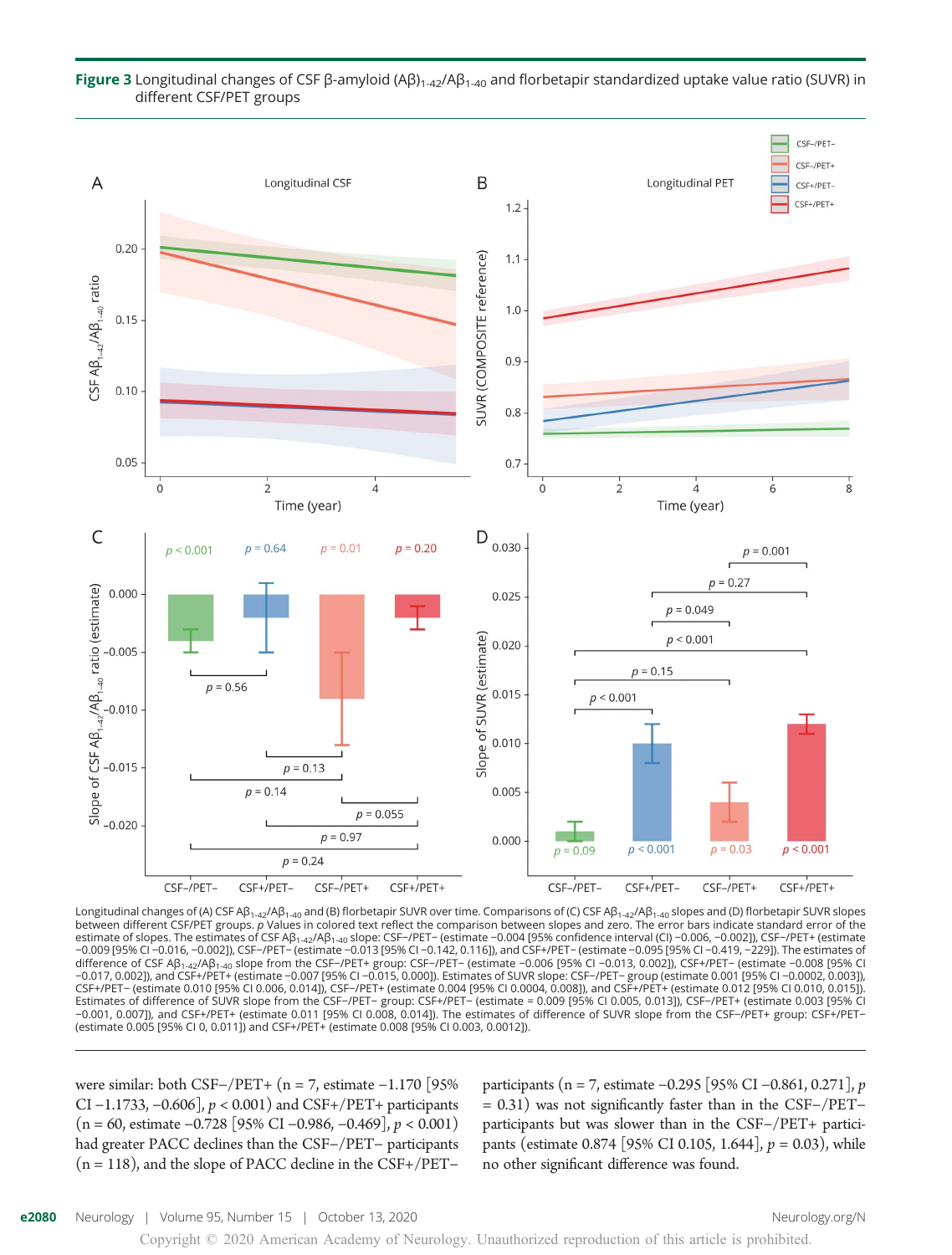

#### Figure 3 Longitudinal changes of CSF β-amyloid (Aβ)<sub>1-42</sub>/Aβ<sub>1-40</sub> and florbetapir standardized uptake value ratio (SUVR) in different CSF/PET groups

Longitudinal changes of (A) CSF Aβ<sub>1-42</sub>/Aβ<sub>1-40</sub> and (B) florbetapir SUVR over time. Comparisons of (C) CSF Aβ<sub>1-42</sub>/Aβ<sub>1-40</sub> slopes and (D) florbetapir SUVR slopes<br>between different CSF/PET groups. *p* Values in colored estimate of slopes. The estimates of CSF Aβ<sub>1-42</sub>/Aβ<sub>1-40</sub> slope: CSF−/PET− (estimate −0.004 [95% confidence interval (Cl) −0.006, −0.002]), CSF−/PET+ (estimate<br>−0.009 [95% Cl −0.016, −0.002]), CSF−/PET− (estimate −0.013 difference of CSF Aβ<sub>1-42</sub>/Aβ<sub>1-40</sub> slope from the CSF−/PET+ group: CSF−/PET− (estimate −0.006 [95% CI −0.013, 0.002]), CSF+/PET− (estimate −0.008 [95% CI<br>−0.017, 0.002]), and CSF+/PET+ (estimate −0.007 [95% CI −0.015, 0.0 CSF+/PET– (estimate 0.010 [95% CI 0.006, 0.014]), CSF–/PET+ (estimate 0.004 [95% CI 0.0004, 0.008]), and CSF+/PET+ (estimate 0.012 [95% CI 0.010, 0.015]).<br>Estimates of difference of SUVR slope from the CSF–/PET– group: CSF −0.001, 0.007]), and CSF+/PET+ (estimate 0.011 [95% CI 0.008, 0.014]). The estimates of difference of SUVR slope from the CSF−/PET+ group: CSF+/PET− (estimate 0.005 [95% CI 0, 0.011]) and CSF+/PET+ (estimate 0.008 [95% CI 0.003, 0.0012]).

were similar: both CSF−/PET+ (n = 7, estimate −1.170 [95% CI <sup>−</sup>1.1733, <sup>−</sup>0.606], p < 0.001) and CSF+/PET+ participants  $(n = 60,$  estimate −0.728 [95% CI −0.986, −0.469],  $p < 0.001$ ) had greater PACC declines than the CSF−/PET− participants (n = 118), and the slope of PACC decline in the CSF+/PET−

participants (n = 7, estimate <sup>−</sup>0.295 [95% CI <sup>−</sup>0.861, 0.271], p = 0.31) was not significantly faster than in the CSF−/PET− participants but was slower than in the CSF−/PET+ participants (estimate 0.874 [95% CI 0.105, 1.644],  $p = 0.03$ ), while no other significant difference was found.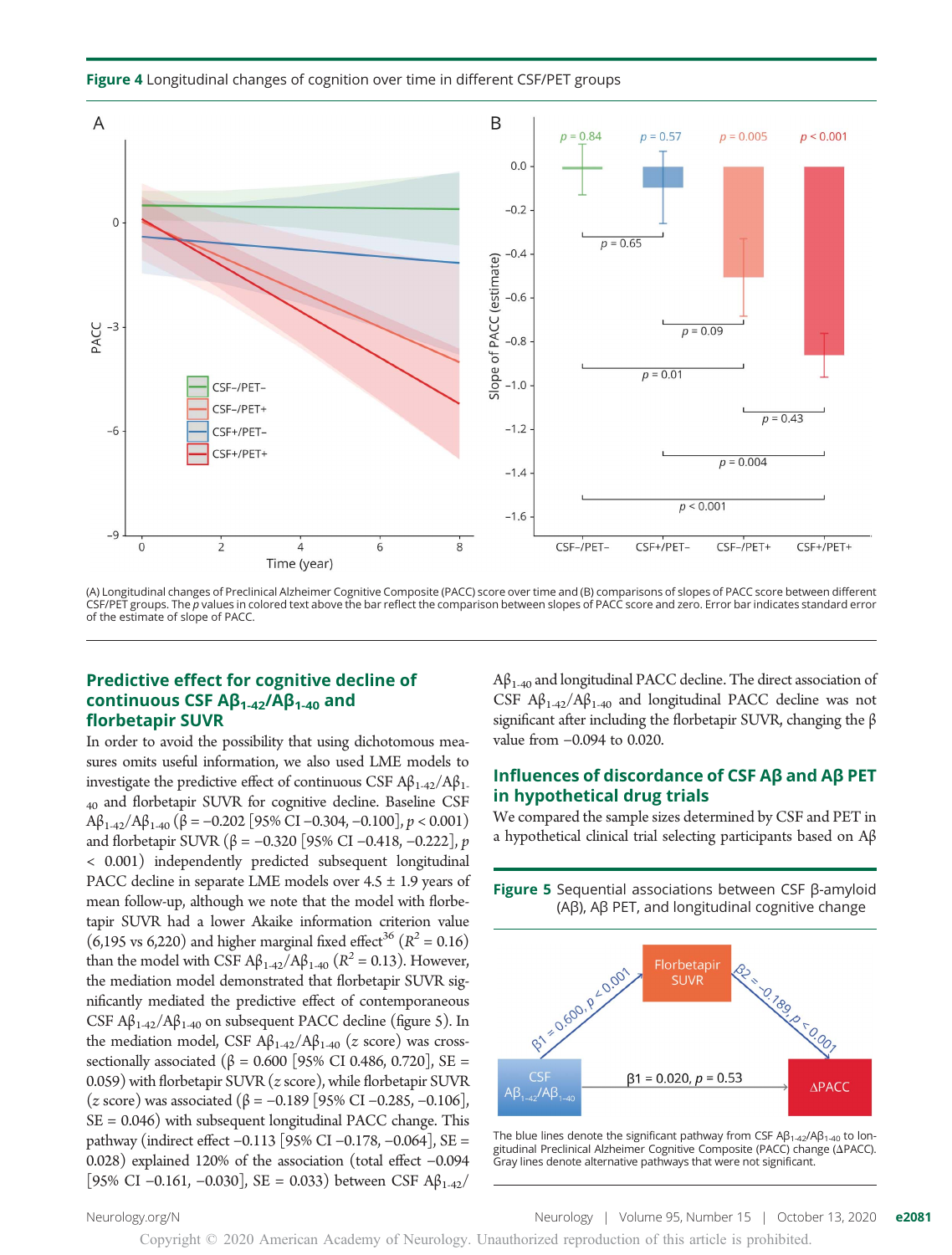Figure 4 Longitudinal changes of cognition over time in different CSF/PET groups



(A) Longitudinal changes of Preclinical Alzheimer Cognitive Composite (PACC) score over time and (B) comparisons of slopes of PACC score between different CSF/PET groups. The p values in colored text above the bar reflect the comparison between slopes of PACC score and zero. Error bar indicates standard error of the estimate of slope of PACC.

# Predictive effect for cognitive decline of continuous CSF  $\mathsf{A}\mathsf{B}_{1\text{-}42}/\mathsf{A}\mathsf{B}_{1\text{-}40}$  and florbetapir SUVR

In order to avoid the possibility that using dichotomous measures omits useful information, we also used LME models to investigate the predictive effect of continuous CSF  $\mathbf{A}\beta_{1-42}/\mathbf{A}\beta_{1-42}$ <sub>40</sub> and florbetapir SUVR for cognitive decline. Baseline CSF  $A\beta_{1-42}/A\beta_{1-40}$  ( $\beta$  = -0.202 [95% CI -0.304, -0.100],  $p < 0.001$ ) and florbetapir SUVR (β = -0.320 [95% CI -0.418, -0.222], *p* < 0.001) independently predicted subsequent longitudinal PACC decline in separate LME models over  $4.5 \pm 1.9$  years of mean follow-up, although we note that the model with florbetapir SUVR had a lower Akaike information criterion value (6,195 vs 6,220) and higher marginal fixed effect<sup>36</sup> ( $R^2 = 0.16$ ) than the model with CSF  $A\beta_{1-42}/A\beta_{1-40}$  ( $R^2 = 0.13$ ). However, the mediation model demonstrated that florbetapir SUVR significantly mediated the predictive effect of contemporaneous CSF  $\mathsf{A}\beta_{1.42}/\mathsf{A}\beta_{1.40}$  on subsequent PACC decline (figure 5). In the mediation model, CSF  $Aβ_{1-42}/Aβ_{1-40}$  (*z* score) was crosssectionally associated ( $β = 0.600$  [95% CI 0.486, 0.720], SE = 0.059) with florbetapir SUVR (z score), while florbetapir SUVR (z score) was associated (<sup>β</sup> <sup>=</sup> <sup>−</sup>0.189 [95% CI <sup>−</sup>0.285, <sup>−</sup>0.106],  $SE = 0.046$ ) with subsequent longitudinal PACC change. This pathway (indirect effect −0.113 [95% CI −0.178, −0.064], SE = 0.028) explained 120% of the association (total effect −0.094 [95% CI −0.161, −0.030], SE = 0.033) between CSF Aβ<sub>1-42</sub>/

 $A\beta_{1-40}$  and longitudinal PACC decline. The direct association of CSF  $A\beta_{1-42}/A\beta_{1-40}$  and longitudinal PACC decline was not significant after including the florbetapir SUVR, changing the β value from −0.094 to 0.020.

# Influences of discordance of CSF Aβ and Aβ PET in hypothetical drug trials

We compared the sample sizes determined by CSF and PET in a hypothetical clinical trial selecting participants based on Aβ

**Figure 5** Sequential associations between CSF β-amyloid (Aβ), Aβ PET, and longitudinal cognitive change 1.50600.p.50.001 Florbetapir **SUVR**  $\Diamond$  $CSF$  $\beta$ 1 = 0.020, p = 0.53  $\triangle$ PACC  $AB_{1-42}/AB_1$ 

The blue lines denote the significant pathway from CSF  $AB_{1-42}/AB_{1-40}$  to longitudinal Preclinical Alzheimer Cognitive Composite (PACC) change (APACC). Gray lines denote alternative pathways that were not significant.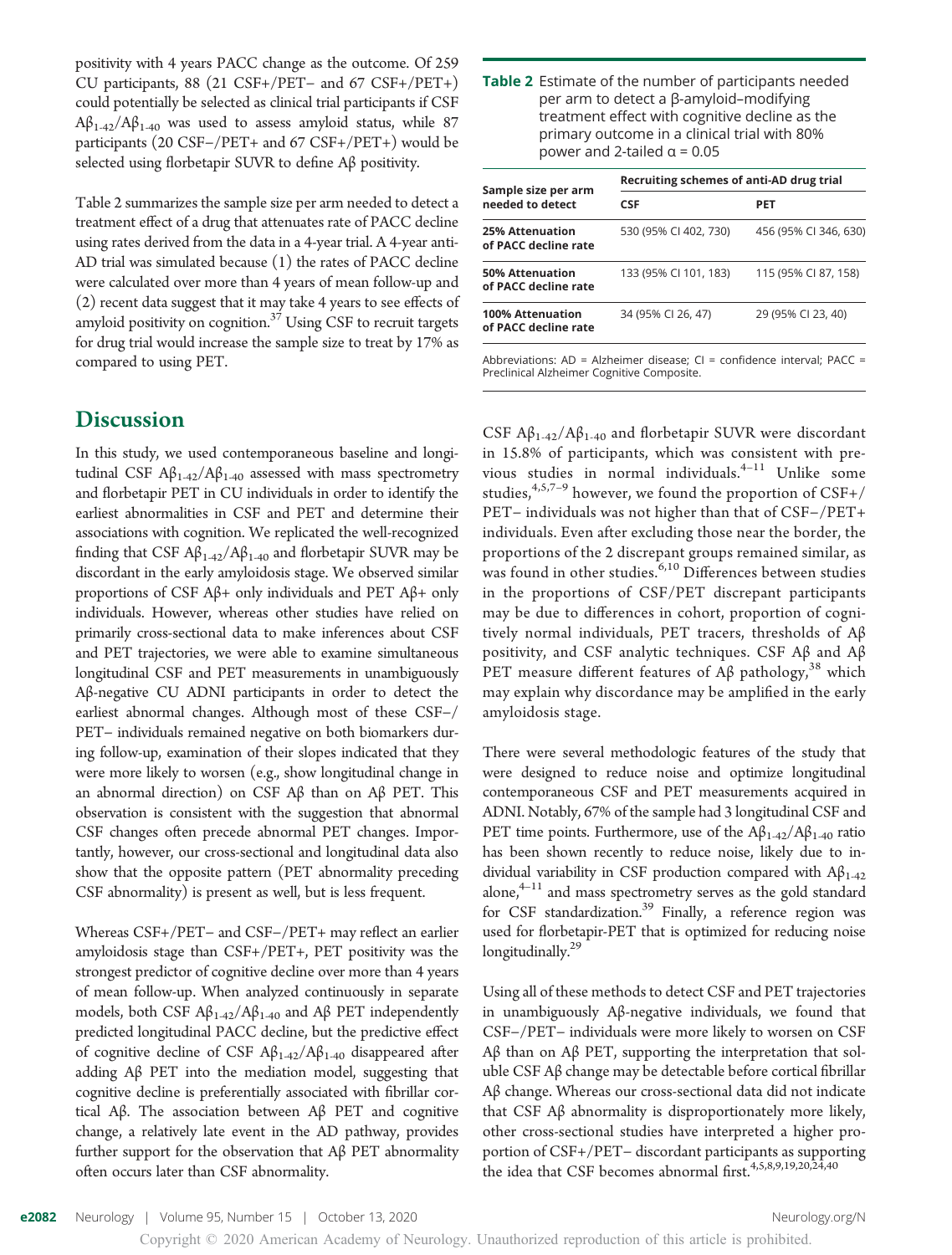positivity with 4 years PACC change as the outcome. Of 259 CU participants, 88 (21 CSF+/PET− and 67 CSF+/PET+) could potentially be selected as clinical trial participants if CSF  $A\beta_{1-42}/A\beta_{1-40}$  was used to assess amyloid status, while 87 participants (20 CSF−/PET+ and 67 CSF+/PET+) would be selected using florbetapir SUVR to define Aβ positivity.

Table 2 summarizes the sample size per arm needed to detect a treatment effect of a drug that attenuates rate of PACC decline using rates derived from the data in a 4-year trial. A 4-year anti-AD trial was simulated because (1) the rates of PACC decline were calculated over more than 4 years of mean follow-up and (2) recent data suggest that it may take 4 years to see effects of amyloid positivity on cognition.<sup>37</sup> Using CSF to recruit targets for drug trial would increase the sample size to treat by 17% as compared to using PET.

# **Discussion**

In this study, we used contemporaneous baseline and longitudinal CSF  $Aβ_{1-42}/Aβ_{1-40}$  assessed with mass spectrometry and florbetapir PET in CU individuals in order to identify the earliest abnormalities in CSF and PET and determine their associations with cognition. We replicated the well-recognized finding that CSF  $A\beta_{1-42}/A\beta_{1-40}$  and florbetapir SUVR may be discordant in the early amyloidosis stage. We observed similar proportions of CSF Aβ+ only individuals and PET Aβ+ only individuals. However, whereas other studies have relied on primarily cross-sectional data to make inferences about CSF and PET trajectories, we were able to examine simultaneous longitudinal CSF and PET measurements in unambiguously Aβ-negative CU ADNI participants in order to detect the earliest abnormal changes. Although most of these CSF−/ PET− individuals remained negative on both biomarkers during follow-up, examination of their slopes indicated that they were more likely to worsen (e.g., show longitudinal change in an abnormal direction) on CSF Aβ than on Aβ PET. This observation is consistent with the suggestion that abnormal CSF changes often precede abnormal PET changes. Importantly, however, our cross-sectional and longitudinal data also show that the opposite pattern (PET abnormality preceding CSF abnormality) is present as well, but is less frequent.

Whereas CSF+/PET− and CSF−/PET+ may reflect an earlier amyloidosis stage than CSF+/PET+, PET positivity was the strongest predictor of cognitive decline over more than 4 years of mean follow-up. When analyzed continuously in separate models, both CSF  $A\beta_{1-42}/A\beta_{1-40}$  and  $A\beta$  PET independently predicted longitudinal PACC decline, but the predictive effect of cognitive decline of CSF  $A\beta_{1\text{-}42}/A\beta_{1\text{-}40}$  disappeared after adding Aβ PET into the mediation model, suggesting that cognitive decline is preferentially associated with fibrillar cortical Aβ. The association between Aβ PET and cognitive change, a relatively late event in the AD pathway, provides further support for the observation that Aβ PET abnormality often occurs later than CSF abnormality.

| Sample size per arm<br>needed to detect         | Recruiting schemes of anti-AD drug trial                                   |                       |  |  |
|-------------------------------------------------|----------------------------------------------------------------------------|-----------------------|--|--|
|                                                 | <b>CSF</b>                                                                 | <b>PET</b>            |  |  |
| <b>25% Attenuation</b><br>of PACC decline rate  | 530 (95% CI 402, 730)                                                      | 456 (95% CI 346, 630) |  |  |
| 50% Attenuation<br>of PACC decline rate         | 133 (95% CI 101, 183)                                                      | 115 (95% CI 87, 158)  |  |  |
| <b>100% Attenuation</b><br>of PACC decline rate | 34 (95% CI 26, 47)                                                         | 29 (95% CI 23, 40)    |  |  |
|                                                 | Abbreviations: $AD =$ Alzheimer disease: $C =$ confidence interval: PACC = |                       |  |  |

Abbreviations: AD = Alzheimer disease; CI = confidence interval; PACC = Preclinical Alzheimer Cognitive Composite.

CSF  $A\beta_{1-42}/A\beta_{1-40}$  and florbetapir SUVR were discordant in 15.8% of participants, which was consistent with previous studies in normal individuals. $4-11$  Unlike some studies,  $4,5,7-9$  however, we found the proportion of CSF+/ PET− individuals was not higher than that of CSF−/PET+ individuals. Even after excluding those near the border, the proportions of the 2 discrepant groups remained similar, as was found in other studies.  $6,10$  Differences between studies in the proportions of CSF/PET discrepant participants may be due to differences in cohort, proportion of cognitively normal individuals, PET tracers, thresholds of Aβ positivity, and CSF analytic techniques. CSF Aβ and Aβ PET measure different features of Aβ pathology,<sup>38</sup> which may explain why discordance may be amplified in the early amyloidosis stage.

There were several methodologic features of the study that were designed to reduce noise and optimize longitudinal contemporaneous CSF and PET measurements acquired in ADNI. Notably, 67% of the sample had 3 longitudinal CSF and PET time points. Furthermore, use of the  $A\beta_{1-42}/A\beta_{1-40}$  ratio has been shown recently to reduce noise, likely due to individual variability in CSF production compared with  $Aβ_{1-42}$ alone, $4-11$  and mass spectrometry serves as the gold standard for CSF standardization.<sup>39</sup> Finally, a reference region was used for florbetapir-PET that is optimized for reducing noise longitudinally.<sup>29</sup>

Using all of these methods to detect CSF and PET trajectories in unambiguously Aβ-negative individuals, we found that CSF−/PET− individuals were more likely to worsen on CSF Aβ than on Aβ PET, supporting the interpretation that soluble CSF Aβ change may be detectable before cortical fibrillar Aβ change. Whereas our cross-sectional data did not indicate that CSF Aβ abnormality is disproportionately more likely, other cross-sectional studies have interpreted a higher proportion of CSF+/PET− discordant participants as supporting the idea that CSF becomes abnormal first.4,5,8,9,19,20,24,40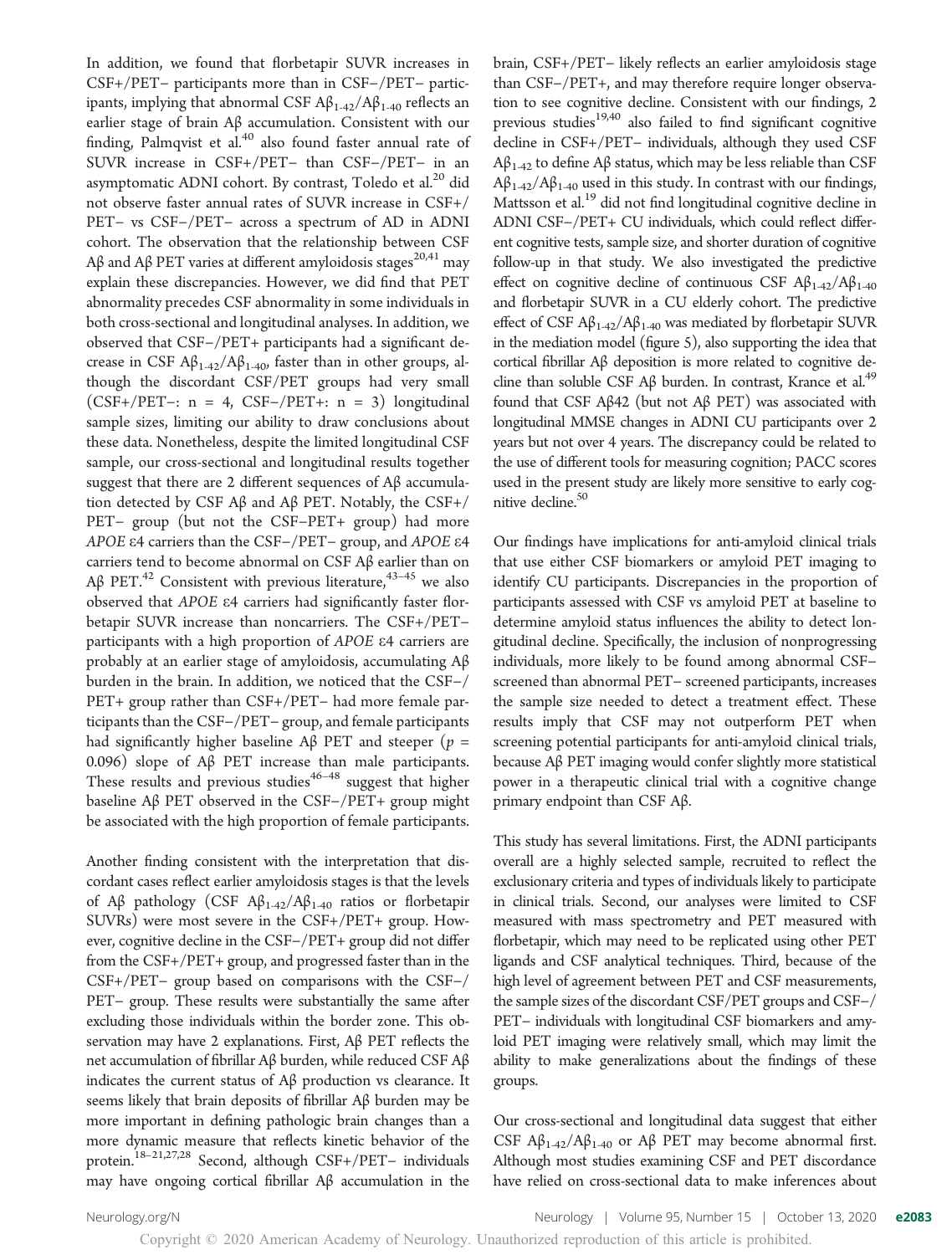In addition, we found that florbetapir SUVR increases in CSF+/PET− participants more than in CSF−/PET− participants, implying that abnormal CSF  $A\beta_{1-42}/A\beta_{1-40}$  reflects an earlier stage of brain Aβ accumulation. Consistent with our finding, Palmqvist et al.<sup>40</sup> also found faster annual rate of SUVR increase in CSF+/PET− than CSF−/PET− in an asymptomatic ADNI cohort. By contrast, Toledo et al.<sup>20</sup> did not observe faster annual rates of SUVR increase in CSF+/ PET− vs CSF−/PET− across a spectrum of AD in ADNI cohort. The observation that the relationship between CSF Aβ and Aβ PET varies at different amyloidosis stages<sup>20,41</sup> may explain these discrepancies. However, we did find that PET abnormality precedes CSF abnormality in some individuals in both cross-sectional and longitudinal analyses. In addition, we observed that CSF−/PET+ participants had a significant decrease in CSF  $A\beta_{1-42}/A\beta_{1-40}$ , faster than in other groups, although the discordant CSF/PET groups had very small  $(CSF+/PET-: n = 4, CSF-/PET+: n = 3)$  longitudinal sample sizes, limiting our ability to draw conclusions about these data. Nonetheless, despite the limited longitudinal CSF sample, our cross-sectional and longitudinal results together suggest that there are 2 different sequences of Aβ accumulation detected by CSF Aβ and Aβ PET. Notably, the CSF+/ PET− group (but not the CSF−PET+ group) had more APOE <sup>e</sup>4 carriers than the CSF−/PET<sup>−</sup> group, and APOE <sup>e</sup><sup>4</sup> carriers tend to become abnormal on CSF Aβ earlier than on Aβ PET.<sup>42</sup> Consistent with previous literature,  $43-45$  we also observed that APOE <sup>e</sup>4 carriers had significantly faster florbetapir SUVR increase than noncarriers. The CSF+/PET− participants with a high proportion of APOE <sup>e</sup>4 carriers are probably at an earlier stage of amyloidosis, accumulating Aβ burden in the brain. In addition, we noticed that the CSF−/ PET+ group rather than CSF+/PET− had more female participants than the CSF−/PET− group, and female participants had significantly higher baseline Aβ PET and steeper ( $p =$ 0.096) slope of Aβ PET increase than male participants. These results and previous studies<sup>46–48</sup> suggest that higher baseline Aβ PET observed in the CSF−/PET+ group might be associated with the high proportion of female participants.

Another finding consistent with the interpretation that discordant cases reflect earlier amyloidosis stages is that the levels of Aβ pathology (CSF  $Aβ_{1-42}/Aβ_{1-40}$  ratios or florbetapir SUVRs) were most severe in the CSF+/PET+ group. However, cognitive decline in the CSF−/PET+ group did not differ from the CSF+/PET+ group, and progressed faster than in the CSF+/PET− group based on comparisons with the CSF−/ PET− group. These results were substantially the same after excluding those individuals within the border zone. This observation may have 2 explanations. First, Aβ PET reflects the net accumulation of fibrillar Aβ burden, while reduced CSF Aβ indicates the current status of Aβ production vs clearance. It seems likely that brain deposits of fibrillar Aβ burden may be more important in defining pathologic brain changes than a more dynamic measure that reflects kinetic behavior of the protein.18–21,27,28 Second, although CSF+/PET− individuals may have ongoing cortical fibrillar Aβ accumulation in the

brain, CSF+/PET− likely reflects an earlier amyloidosis stage than CSF−/PET+, and may therefore require longer observation to see cognitive decline. Consistent with our findings, 2 previous studies<sup>19,40</sup> also failed to find significant cognitive decline in CSF+/PET− individuals, although they used CSF  $Aβ<sub>1-42</sub>$  to define Aβ status, which may be less reliable than CSF  $A\beta_{1-42}/A\beta_{1-40}$  used in this study. In contrast with our findings, Mattsson et al.<sup>19</sup> did not find longitudinal cognitive decline in ADNI CSF−/PET+ CU individuals, which could reflect different cognitive tests, sample size, and shorter duration of cognitive follow-up in that study. We also investigated the predictive effect on cognitive decline of continuous CSF  $A\beta_{1-42}/A\beta_{1-40}$ and florbetapir SUVR in a CU elderly cohort. The predictive effect of CSF  $A\beta_{1-42}/A\beta_{1-40}$  was mediated by florbetapir SUVR in the mediation model (figure 5), also supporting the idea that cortical fibrillar Aβ deposition is more related to cognitive decline than soluble CSF Aβ burden. In contrast, Krance et al.<sup>49</sup> found that CSF Aβ42 (but not Aβ PET) was associated with longitudinal MMSE changes in ADNI CU participants over 2 years but not over 4 years. The discrepancy could be related to the use of different tools for measuring cognition; PACC scores used in the present study are likely more sensitive to early cognitive decline.<sup>50</sup>

Our findings have implications for anti-amyloid clinical trials that use either CSF biomarkers or amyloid PET imaging to identify CU participants. Discrepancies in the proportion of participants assessed with CSF vs amyloid PET at baseline to determine amyloid status influences the ability to detect longitudinal decline. Specifically, the inclusion of nonprogressing individuals, more likely to be found among abnormal CSF− screened than abnormal PET− screened participants, increases the sample size needed to detect a treatment effect. These results imply that CSF may not outperform PET when screening potential participants for anti-amyloid clinical trials, because Aβ PET imaging would confer slightly more statistical power in a therapeutic clinical trial with a cognitive change primary endpoint than CSF Aβ.

This study has several limitations. First, the ADNI participants overall are a highly selected sample, recruited to reflect the exclusionary criteria and types of individuals likely to participate in clinical trials. Second, our analyses were limited to CSF measured with mass spectrometry and PET measured with florbetapir, which may need to be replicated using other PET ligands and CSF analytical techniques. Third, because of the high level of agreement between PET and CSF measurements, the sample sizes of the discordant CSF/PET groups and CSF−/ PET− individuals with longitudinal CSF biomarkers and amyloid PET imaging were relatively small, which may limit the ability to make generalizations about the findings of these groups.

Our cross-sectional and longitudinal data suggest that either CSF  $A\beta_{1-42}/A\beta_{1-40}$  or  $A\beta$  PET may become abnormal first. Although most studies examining CSF and PET discordance have relied on cross-sectional data to make inferences about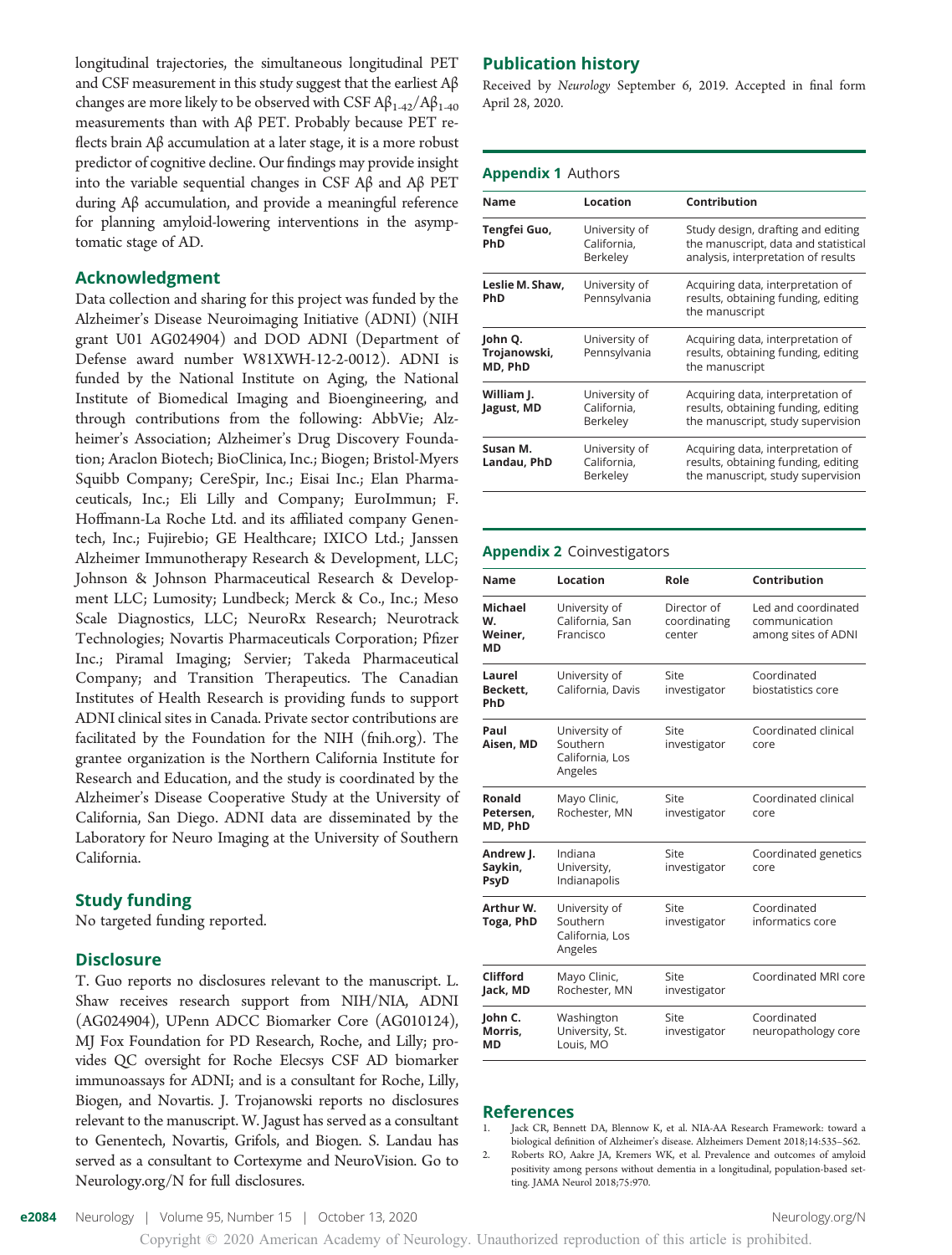longitudinal trajectories, the simultaneous longitudinal PET and CSF measurement in this study suggest that the earliest  $A\beta$ changes are more likely to be observed with CSF  $A\beta_{1-42}/A\beta_{1-40}$ measurements than with Aβ PET. Probably because PET reflects brain Aβ accumulation at a later stage, it is a more robust predictor of cognitive decline. Our findings may provide insight into the variable sequential changes in CSF Aβ and Aβ PET during Aβ accumulation, and provide a meaningful reference for planning amyloid-lowering interventions in the asymptomatic stage of AD.

#### Acknowledgment

Data collection and sharing for this project was funded by the Alzheimer's Disease Neuroimaging Initiative (ADNI) (NIH grant U01 AG024904) and DOD ADNI (Department of Defense award number W81XWH-12-2-0012). ADNI is funded by the National Institute on Aging, the National Institute of Biomedical Imaging and Bioengineering, and through contributions from the following: AbbVie; Alzheimer's Association; Alzheimer's Drug Discovery Foundation; Araclon Biotech; BioClinica, Inc.; Biogen; Bristol-Myers Squibb Company; CereSpir, Inc.; Eisai Inc.; Elan Pharmaceuticals, Inc.; Eli Lilly and Company; EuroImmun; F. Hoffmann-La Roche Ltd. and its affiliated company Genentech, Inc.; Fujirebio; GE Healthcare; IXICO Ltd.; Janssen Alzheimer Immunotherapy Research & Development, LLC; Johnson & Johnson Pharmaceutical Research & Development LLC; Lumosity; Lundbeck; Merck & Co., Inc.; Meso Scale Diagnostics, LLC; NeuroRx Research; Neurotrack Technologies; Novartis Pharmaceuticals Corporation; Pfizer Inc.; Piramal Imaging; Servier; Takeda Pharmaceutical Company; and Transition Therapeutics. The Canadian Institutes of Health Research is providing funds to support ADNI clinical sites in Canada. Private sector contributions are facilitated by the Foundation for the NIH [\(fnih.org\)](http://www.fnih.org). The grantee organization is the Northern California Institute for Research and Education, and the study is coordinated by the Alzheimer's Disease Cooperative Study at the University of California, San Diego. ADNI data are disseminated by the Laboratory for Neuro Imaging at the University of Southern California.

#### Study funding

No targeted funding reported.

#### Disclosure

T. Guo reports no disclosures relevant to the manuscript. L. Shaw receives research support from NIH/NIA, ADNI (AG024904), UPenn ADCC Biomarker Core (AG010124), MJ Fox Foundation for PD Research, Roche, and Lilly; provides QC oversight for Roche Elecsys CSF AD biomarker immunoassays for ADNI; and is a consultant for Roche, Lilly, Biogen, and Novartis. J. Trojanowski reports no disclosures relevant to the manuscript. W. Jagust has served as a consultant to Genentech, Novartis, Grifols, and Biogen. S. Landau has served as a consultant to Cortexyme and NeuroVision. Go to [Neurology.org/N](https://n.neurology.org/lookup/doi/10.1212/WNL.0000000000010596) for full disclosures.

#### Publication history

Received by Neurology September 6, 2019. Accepted in final form April 28, 2020.

#### Appendix 1 Authors

| Name                               | Location                                 | Contribution                                                                                                      |
|------------------------------------|------------------------------------------|-------------------------------------------------------------------------------------------------------------------|
| Tengfei Guo,<br>PhD                | University of<br>California,<br>Berkeley | Study design, drafting and editing<br>the manuscript, data and statistical<br>analysis, interpretation of results |
| Leslie M. Shaw,<br>PhD             | University of<br>Pennsylvania            | Acquiring data, interpretation of<br>results, obtaining funding, editing<br>the manuscript                        |
| John Q.<br>Trojanowski,<br>MD, PhD | University of<br>Pennsylvania            | Acquiring data, interpretation of<br>results, obtaining funding, editing<br>the manuscript                        |
| William J.<br>Jagust, MD           | University of<br>California,<br>Berkeley | Acquiring data, interpretation of<br>results, obtaining funding, editing<br>the manuscript, study supervision     |
| Susan M.<br>Landau, PhD            | University of<br>California,<br>Berkeley | Acquiring data, interpretation of<br>results, obtaining funding, editing<br>the manuscript, study supervision     |

#### Appendix 2 Coinvestigators

| Name                                  | Location                                                | Role                                  | Contribution                                                |
|---------------------------------------|---------------------------------------------------------|---------------------------------------|-------------------------------------------------------------|
| Michael<br>W.<br>Weiner,<br><b>MD</b> | University of<br>California, San<br>Francisco           | Director of<br>coordinating<br>center | Led and coordinated<br>communication<br>among sites of ADNI |
| Laurel<br>Beckett.<br>PhD             | University of<br>California, Davis                      | Site<br>investigator                  | Coordinated<br>biostatistics core                           |
| Paul<br>Aisen, MD                     | University of<br>Southern<br>California, Los<br>Angeles | Site<br>investigator                  | Coordinated clinical<br>core                                |
| Ronald<br>Petersen,<br>MD, PhD        | Mayo Clinic,<br>Rochester, MN                           | Site<br>investigator                  | Coordinated clinical<br>core                                |
| Andrew J.<br>Saykin,<br>PsyD          | Indiana<br>University,<br>Indianapolis                  | Site<br>investigator                  | Coordinated genetics<br>core                                |
| Arthur W.<br>Toga, PhD                | University of<br>Southern<br>California, Los<br>Angeles | Site<br>investigator                  | Coordinated<br>informatics core                             |
| Clifford<br>Jack, MD                  | Mayo Clinic,<br>Rochester, MN                           | Site<br>investigator                  | Coordinated MRI core                                        |
| John C.<br>Morris.<br>МD              | Washington<br>University, St.<br>Louis, MO              | Site<br>investigator                  | Coordinated<br>neuropathology core                          |

#### References

1. Jack CR, Bennett DA, Blennow K, et al. NIA-AA Research Framework: toward a biological definition of Alzheimer's disease. Alzheimers Dement 2018;14:535–562.

2. Roberts RO, Aakre JA, Kremers WK, et al. Prevalence and outcomes of amyloid positivity among persons without dementia in a longitudinal, population-based setting. JAMA Neurol 2018;75:970.